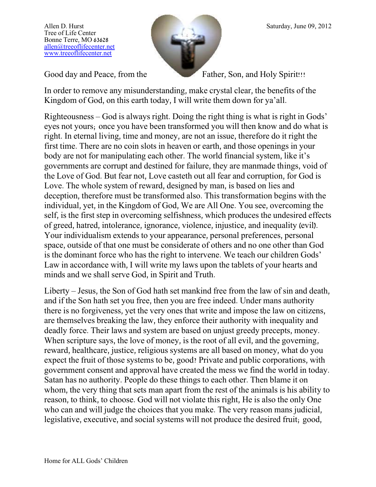

Good day and Peace, from the Father, Son, and Holy Spirit!!!

In order to remove any misunderstanding, make crystal clear, the benefits of the Kingdom of God, on this earth today, I will write them down for ya'all.

Righteousness – God is always right. Doing the right thing is what is right in Gods' eyes not yours; once you have been transformed you will then know and do what is right. In eternal living, time and money, are not an issue, therefore do it right the first time. There are no coin slots in heaven or earth, and those openings in your body are not for manipulating each other. The world financial system, like it's governments are corrupt and destined for failure, they are manmade things, void of the Love of God. But fear not, Love casteth out all fear and corruption, for God is Love. The whole system of reward, designed by man, is based on lies and deception, therefore must be transformed also. This transformation begins with the individual, yet, in the Kingdom of God, We are All One. You see, overcoming the self, is the first step in overcoming selfishness, which produces the undesired effects of greed, hatred, intolerance, ignorance, violence, injustice, and inequality (evil). Your individualism extends to your appearance, personal preferences, personal space, outside of that one must be considerate of others and no one other than God is the dominant force who has the right to intervene. We teach our children Gods' Law in accordance with, I will write my laws upon the tablets of your hearts and minds and we shall serve God, in Spirit and Truth.

Liberty – Jesus, the Son of God hath set mankind free from the law of sin and death, and if the Son hath set you free, then you are free indeed. Under mans authority there is no forgiveness, yet the very ones that write and impose the law on citizens, are themselves breaking the law, they enforce their authority with inequality and deadly force. Their laws and system are based on unjust greedy precepts, money. When scripture says, the love of money, is the root of all evil, and the governing, reward, healthcare, justice, religious systems are all based on money, what do you expect the fruit of those systems to be, good? Private and public corporations, with government consent and approval have created the mess we find the world in today. Satan has no authority. People do these things to each other. Then blame it on whom, the very thing that sets man apart from the rest of the animals is his ability to reason, to think, to choose. God will not violate this right, He is also the only One who can and will judge the choices that you make. The very reason mans judicial, legislative, executive, and social systems will not produce the desired fruit; good,